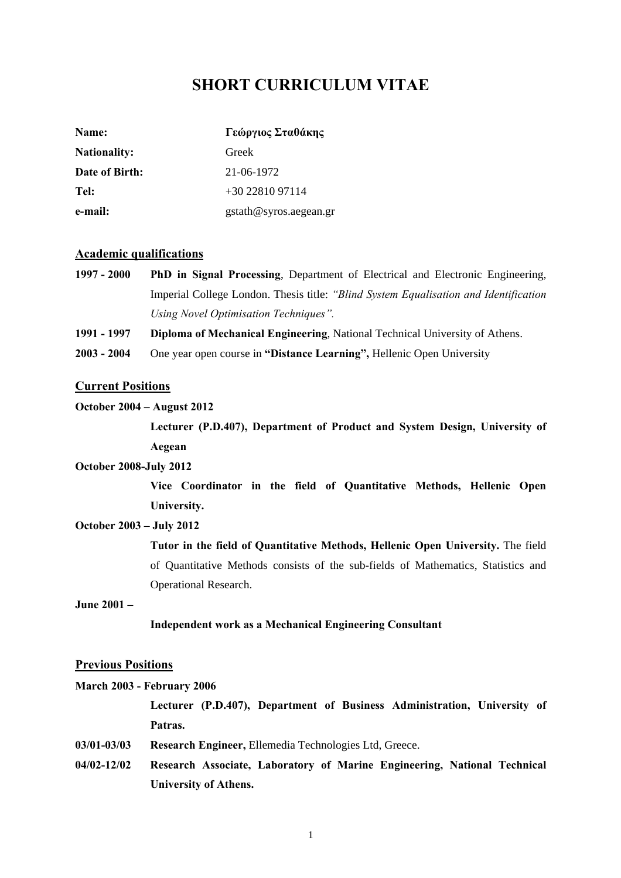## **SHORT CURRICULUM VITAE**

| Name:               | Γεώργιος Σταθάκης      |
|---------------------|------------------------|
| <b>Nationality:</b> | Greek                  |
| Date of Birth:      | 21-06-1972             |
| Tel:                | $+30\,22810\,97114$    |
| e-mail:             | gstath@syros.aegean.gr |

## **Academic qualifications**

- **1997 2000 PhD in Signal Processing**, Department of Electrical and Electronic Engineering, Imperial College London. Thesis title: *"Blind System Equalisation and Identification Using Novel Optimisation Techniques".*
- **1991 1997 Diploma of Mechanical Engineering**, National Technical University of Athens.
- **2003 2004** One year open course in **"Distance Learning",** Hellenic Open University

### **Current Positions**

## **October 2004 – August 2012**

**Lecturer (P.D.407), Department of Product and System Design, University of Aegean** 

### **October 2008-July 2012**

**Vice Coordinator in the field of Quantitative Methods, Hellenic Open University.** 

## **October 2003 – July 2012**

**Tutor in the field of Quantitative Methods, Hellenic Open University.** The field of Quantitative Methods consists of the sub-fields of Mathematics, Statistics and Operational Research.

## **June 2001 –**

## **Independent work as a Mechanical Engineering Consultant**

#### **Previous Positions**

# **March 2003 - February 2006 Lecturer (P.D.407), Department of Business Administration, University of Patras.**

- **03/01-03/03 Research Engineer,** Ellemedia Technologies Ltd, Greece.
- **04/02-12/02 Research Associate, Laboratory of Marine Engineering, National Technical University of Athens.**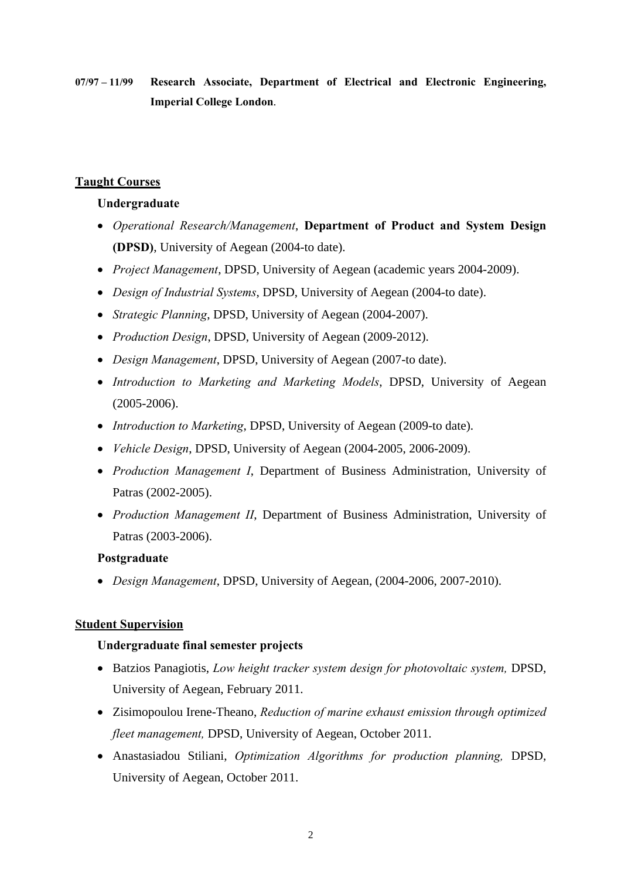**07/97 – 11/99 Research Associate, Department of Electrical and Electronic Engineering, Imperial College London**.

## **Taught Courses**

## **Undergraduate**

- *Operational Research/Management*, **Department of Product and System Design (DPSD)**, University of Aegean (2004-to date).
- *Project Management*, DPSD, University of Aegean (academic years 2004-2009).
- *Design of Industrial Systems*, DPSD, University of Aegean (2004-to date).
- *Strategic Planning*, DPSD, University of Aegean (2004-2007).
- *Production Design*, DPSD, University of Aegean (2009-2012).
- *Design Management*, DPSD, University of Aegean (2007-to date).
- *Introduction to Marketing and Marketing Models*, DPSD, University of Aegean (2005-2006).
- *Introduction to Marketing*, DPSD, University of Aegean (2009-to date).
- *Vehicle Design*, DPSD, University of Aegean (2004-2005, 2006-2009).
- *Production Management Ι*, Department of Business Administration, University of Patras (2002-2005).
- *Production Management ΙΙ*, Department of Business Administration, University of Patras (2003-2006).

## **Postgraduate**

• *Design Management*, DPSD, University of Aegean, (2004-2006, 2007-2010).

## **Student Supervision**

## **Undergraduate final semester projects**

- Batzios Panagiotis, *Low height tracker system design for photovoltaic system,* DPSD, University of Aegean, February 2011.
- Zisimopoulou Irene-Theano, *Reduction of marine exhaust emission through optimized fleet management,* DPSD, University of Aegean, October 2011.
- Anastasiadou Stiliani, *Optimization Algorithms for production planning,* DPSD, University of Aegean, October 2011.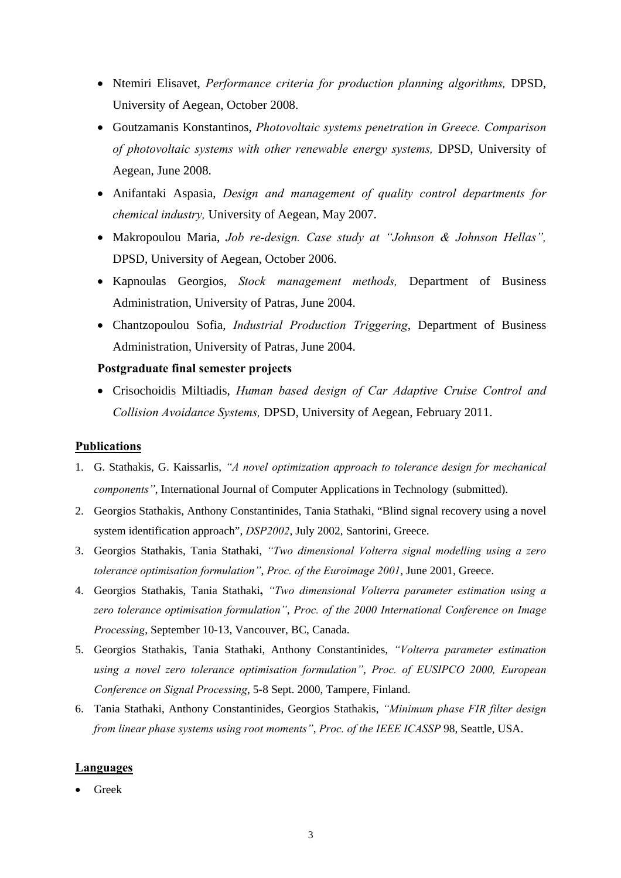- Ntemiri Elisavet, *Performance criteria for production planning algorithms,* DPSD, University of Aegean, October 2008.
- Goutzamanis Konstantinos, *Photovoltaic systems penetration in Greece. Comparison of photovoltaic systems with other renewable energy systems,* DPSD, University of Aegean, June 2008.
- Anifantaki Aspasia, *Design and management of quality control departments for chemical industry,* University of Aegean, May 2007.
- Makropoulou Maria, *Job re-design. Case study at "Johnson & Johnson Hellas",*  DPSD, University of Aegean, October 2006.
- Kapnoulas Georgios, *Stock management methods,* Department of Business Administration, University of Patras, June 2004.
- Chantzopoulou Sofia, *Industrial Production Triggering*, Department of Business Administration, University of Patras, June 2004.

## **Postgraduate final semester projects**

• Crisochoidis Miltiadis, *Human based design of Car Adaptive Cruise Control and Collision Avoidance Systems,* DPSD, University of Aegean, February 2011.

## **Publications**

- 1. G. Stathakis, G. Kaissarlis, *"A novel optimization approach to tolerance design for mechanical components"*, International Journal of Computer Applications in Technology (submitted).
- 2. Georgios Stathakis, Anthony Constantinides, Tania Stathaki, "Blind signal recovery using a novel system identification approach", *DSP2002*, July 2002, Santorini, Greece.
- 3. Georgios Stathakis, Tania Stathaki, *"Two dimensional Volterra signal modelling using a zero tolerance optimisation formulation"*, *Proc. of the Euroimage 2001*, June 2001, Greece.
- 4. Georgios Stathakis, Tania Stathaki**,** *"Two dimensional Volterra parameter estimation using a zero tolerance optimisation formulation"*, *Proc. of the 2000 International Conference on Image Processing*, September 10-13, Vancouver, BC, Canada.
- 5. Georgios Stathakis, Tania Stathaki, Anthony Constantinides, *"Volterra parameter estimation using a novel zero tolerance optimisation formulation"*, *Proc. of EUSIPCO 2000, European Conference on Signal Processing*, 5-8 Sept. 2000, Tampere, Finland.
- 6. Tania Stathaki, Anthony Constantinides, Georgios Stathakis, *"Minimum phase FIR filter design from linear phase systems using root moments"*, *Proc. of the IEEE ICASSP* 98, Seattle, USA.

## **Languages**

• Greek